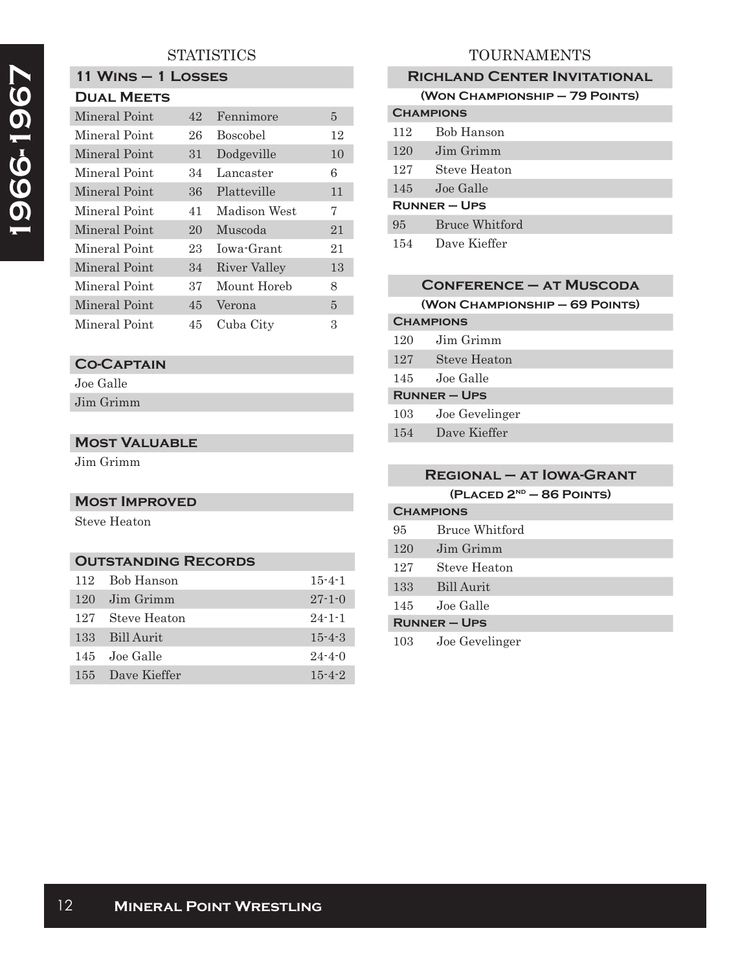## **STATISTICS**

#### **11 Wins – 1 Losses Dual Meets**

| DUAL MEE IS   |    |                 |                |
|---------------|----|-----------------|----------------|
| Mineral Point | 42 | Fennimore       | $\overline{5}$ |
| Mineral Point | 26 | <b>Boscobel</b> | 12             |
| Mineral Point | 31 | Dodgeville      | 10             |
| Mineral Point | 34 | Lancaster       | 6              |
| Mineral Point | 36 | Platteville     | 11             |
| Mineral Point | 41 | Madison West    | 7              |
| Mineral Point | 20 | Muscoda         | 21             |
| Mineral Point | 23 | Iowa-Grant      | 21             |
| Mineral Point | 34 | River Valley    | 13             |
| Mineral Point | 37 | Mount Horeb     | 8              |
| Mineral Point | 45 | Verona          | 5              |
| Mineral Point | 45 | Cuba City       | 3              |

# **Co-Captain**

Joe Galle Jim Grimm

## **Most Valuable**

Jim Grimm

#### **Most Improved**

Steve Heaton

### **Outstanding Records**

| 112 | Bob Hanson    | $15 - 4 - 1$ |
|-----|---------------|--------------|
| 120 | Jim Grimm     | $27 - 1 - 0$ |
| 127 | Steve Heaton  | $24 - 1 - 1$ |
| 133 | Bill Aurit    | $15 - 4 - 3$ |
|     | 145 Joe Galle | $24 - 4 - 0$ |
| 155 | Dave Kieffer  | $15 - 4 - 2$ |

# TOURNAMENTS

| <b>RICHLAND CENTER INVITATIONAL</b> |                       |  |  |  |
|-------------------------------------|-----------------------|--|--|--|
| (WON CHAMPIONSHIP - 79 POINTS)      |                       |  |  |  |
| <b>CHAMPIONS</b>                    |                       |  |  |  |
| 112                                 | Bob Hanson            |  |  |  |
| 120                                 | Jim Grimm             |  |  |  |
| 127                                 | Steve Heaton          |  |  |  |
| 145                                 | Joe Galle             |  |  |  |
| $RUNNER - UPS$                      |                       |  |  |  |
| 95                                  | <b>Bruce Whitford</b> |  |  |  |
| 154                                 | Dave Kieffer          |  |  |  |

| <b>CONFERENCE - AT MUSCODA</b> |                                |  |
|--------------------------------|--------------------------------|--|
|                                | (WON CHAMPIONSHIP - 69 POINTS) |  |
| <b>CHAMPIONS</b>               |                                |  |
| 120                            | Jim Grimm                      |  |
| 127                            | <b>Steve Heaton</b>            |  |
| 145                            | Joe Galle                      |  |
| <b>RUNNER-UPS</b>              |                                |  |
| 103                            | Joe Gevelinger                 |  |
| 154                            | Dave Kieffer                   |  |

# **Regional – at Iowa-Grant (Placed 2nd – 86 Points) Champions** 95 Bruce Whitford 120 Jim Grimm 127 Steve Heaton 133 Bill Aurit

145 Joe Galle **Runner – Ups**

103 Joe Gevelinger